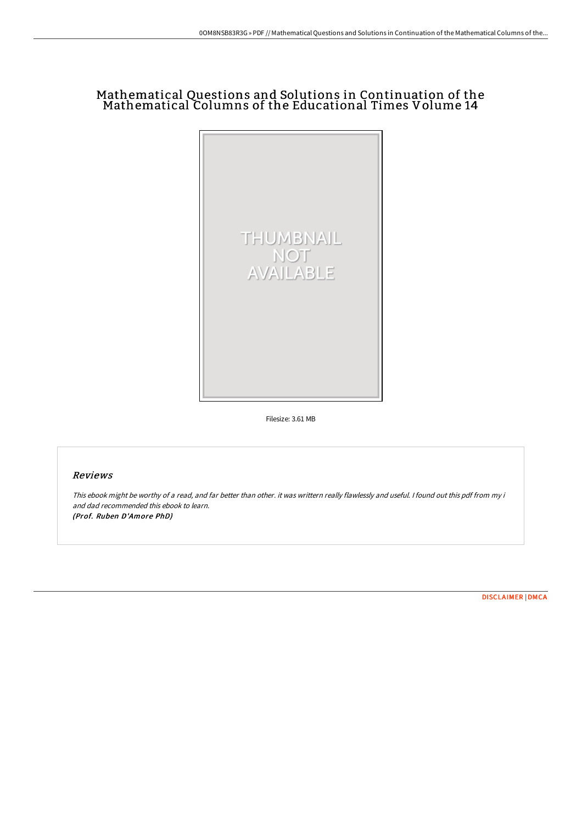# Mathematical Questions and Solutions in Continuation of the Mathematical Columns of the Educational Times Volume 14



Filesize: 3.61 MB

# Reviews

This ebook might be worthy of <sup>a</sup> read, and far better than other. it was writtern really flawlessly and useful. <sup>I</sup> found out this pdf from my i and dad recommended this ebook to learn. (Prof. Ruben D'Amore PhD)

[DISCLAIMER](http://techno-pub.tech/disclaimer.html) | [DMCA](http://techno-pub.tech/dmca.html)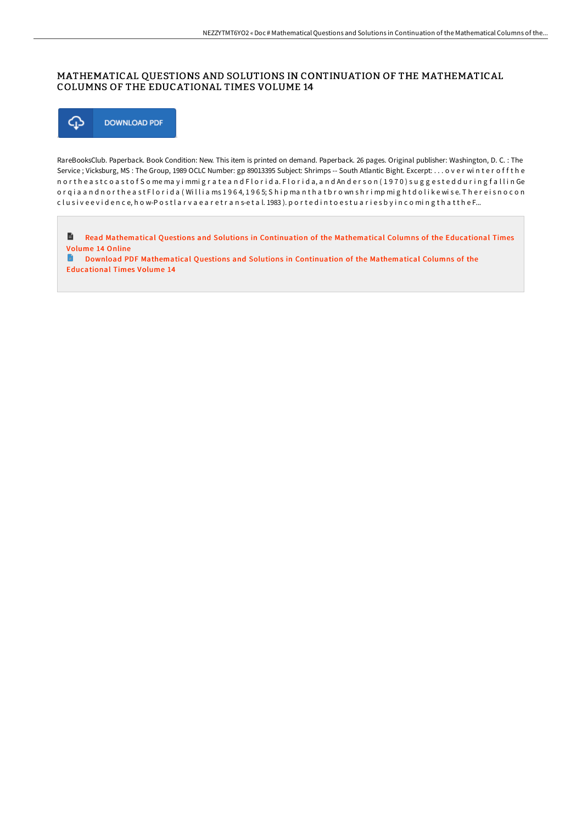# MATHEMATICAL QUESTIONS AND SOLUTIONS IN CONTINUATION OF THE MATHEMATICAL COLUMNS OF THE EDUCATIONAL TIMES VOLUME 14



RareBooksClub. Paperback. Book Condition: New. This item is printed on demand. Paperback. 26 pages. Original publisher: Washington, D. C. : The Service ; Vicksburg, MS : The Group, 1989 OCLC Number: gp 89013395 Subject: Shrimps -- South Atlantic Bight. Excerpt: . . . o v e r wi n t e r o f f t h e n or the ast coast of Some may immigrate and Florida. Florida, and Anderson (1970) suggested during fall in Ge or qia a n d n or the ast Florida (Willia ms 1964, 1965; Ship manthat brownshrimp might dolike wise. Thereisnocon c l u sive e vidence, how-Postlar vae are trans-etal. 1983). ported into estuaries by incoming that the F...

 $\blacksquare$ Read [Mathematical](http://techno-pub.tech/mathematical-questions-and-solutions-in-continua-10.html) Questions and Solutions in Continuation of the Mathematical Columns of the Educational Times Volume 14 Online G

Download PDF [Mathematical](http://techno-pub.tech/mathematical-questions-and-solutions-in-continua-10.html) Questions and Solutions in Continuation of the Mathematical Columns of the Educational Times Volume 14